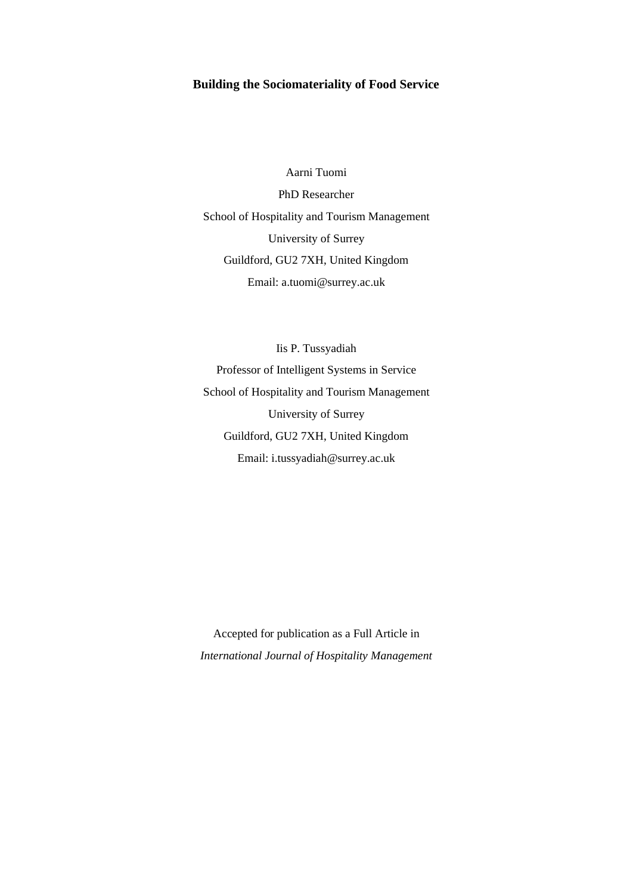# **Building the Sociomateriality of Food Service**

Aarni Tuomi

PhD Researcher School of Hospitality and Tourism Management University of Surrey Guildford, GU2 7XH, United Kingdom Email: a.tuomi@surrey.ac.uk

Iis P. Tussyadiah Professor of Intelligent Systems in Service School of Hospitality and Tourism Management University of Surrey Guildford, GU2 7XH, United Kingdom Email: i.tussyadiah@surrey.ac.uk

Accepted for publication as a Full Article in *International Journal of Hospitality Management*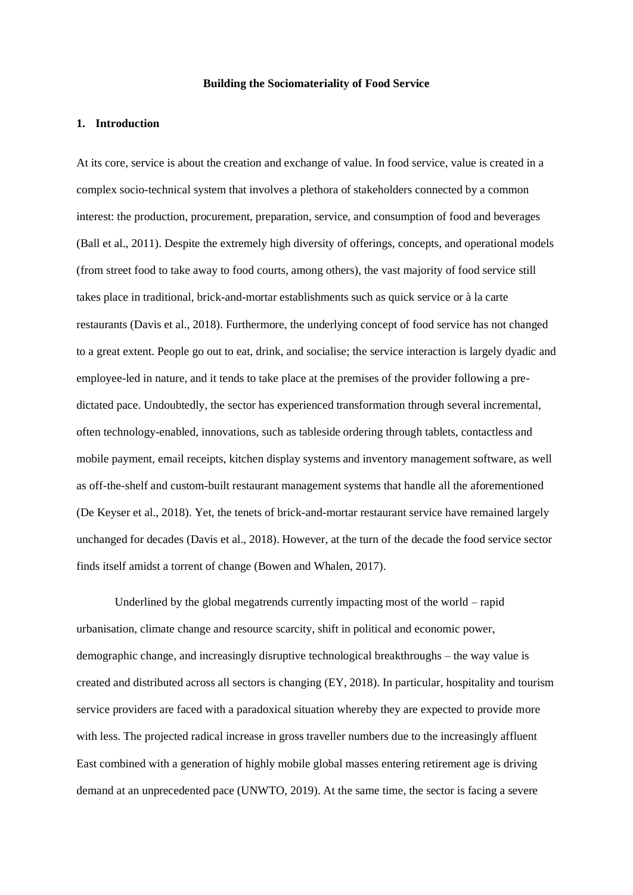#### **Building the Sociomateriality of Food Service**

# **1. Introduction**

At its core, service is about the creation and exchange of value. In food service, value is created in a complex socio-technical system that involves a plethora of stakeholders connected by a common interest: the production, procurement, preparation, service, and consumption of food and beverages (Ball et al., 2011). Despite the extremely high diversity of offerings, concepts, and operational models (from street food to take away to food courts, among others), the vast majority of food service still takes place in traditional, brick-and-mortar establishments such as quick service or à la carte restaurants (Davis et al., 2018). Furthermore, the underlying concept of food service has not changed to a great extent. People go out to eat, drink, and socialise; the service interaction is largely dyadic and employee-led in nature, and it tends to take place at the premises of the provider following a predictated pace. Undoubtedly, the sector has experienced transformation through several incremental, often technology-enabled, innovations, such as tableside ordering through tablets, contactless and mobile payment, email receipts, kitchen display systems and inventory management software, as well as off-the-shelf and custom-built restaurant management systems that handle all the aforementioned (De Keyser et al., 2018). Yet, the tenets of brick-and-mortar restaurant service have remained largely unchanged for decades (Davis et al., 2018). However, at the turn of the decade the food service sector finds itself amidst a torrent of change (Bowen and Whalen, 2017).

Underlined by the global megatrends currently impacting most of the world – rapid urbanisation, climate change and resource scarcity, shift in political and economic power, demographic change, and increasingly disruptive technological breakthroughs – the way value is created and distributed across all sectors is changing (EY, 2018). In particular, hospitality and tourism service providers are faced with a paradoxical situation whereby they are expected to provide more with less. The projected radical increase in gross traveller numbers due to the increasingly affluent East combined with a generation of highly mobile global masses entering retirement age is driving demand at an unprecedented pace (UNWTO, 2019). At the same time, the sector is facing a severe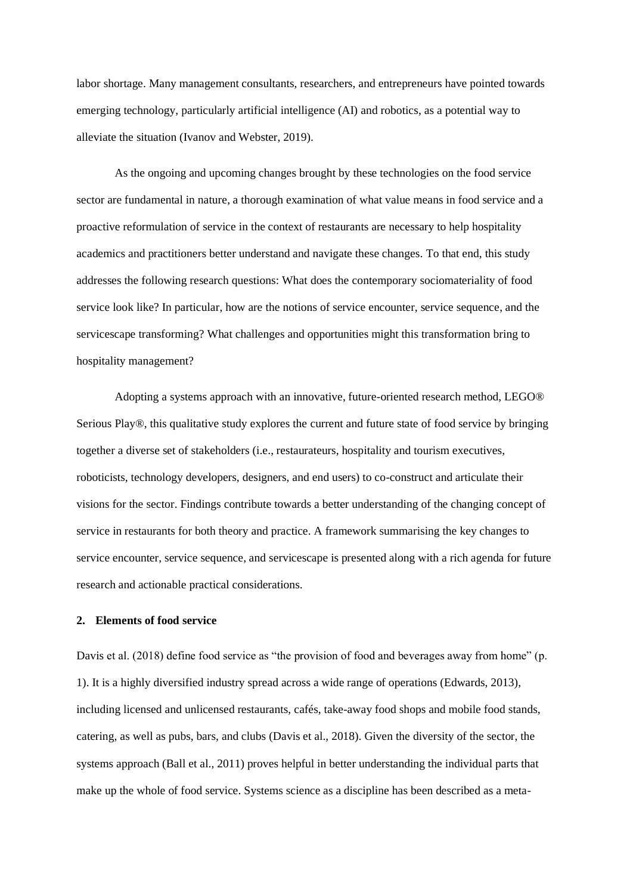labor shortage. Many management consultants, researchers, and entrepreneurs have pointed towards emerging technology, particularly artificial intelligence (AI) and robotics, as a potential way to alleviate the situation (Ivanov and Webster, 2019).

As the ongoing and upcoming changes brought by these technologies on the food service sector are fundamental in nature, a thorough examination of what value means in food service and a proactive reformulation of service in the context of restaurants are necessary to help hospitality academics and practitioners better understand and navigate these changes. To that end, this study addresses the following research questions: What does the contemporary sociomateriality of food service look like? In particular, how are the notions of service encounter, service sequence, and the servicescape transforming? What challenges and opportunities might this transformation bring to hospitality management?

Adopting a systems approach with an innovative, future-oriented research method, LEGO® Serious Play®, this qualitative study explores the current and future state of food service by bringing together a diverse set of stakeholders (i.e., restaurateurs, hospitality and tourism executives, roboticists, technology developers, designers, and end users) to co-construct and articulate their visions for the sector. Findings contribute towards a better understanding of the changing concept of service in restaurants for both theory and practice. A framework summarising the key changes to service encounter, service sequence, and servicescape is presented along with a rich agenda for future research and actionable practical considerations.

## **2. Elements of food service**

Davis et al. (2018) define food service as "the provision of food and beverages away from home" (p. 1). It is a highly diversified industry spread across a wide range of operations (Edwards, 2013), including licensed and unlicensed restaurants, cafés, take-away food shops and mobile food stands, catering, as well as pubs, bars, and clubs (Davis et al., 2018). Given the diversity of the sector, the systems approach (Ball et al., 2011) proves helpful in better understanding the individual parts that make up the whole of food service. Systems science as a discipline has been described as a meta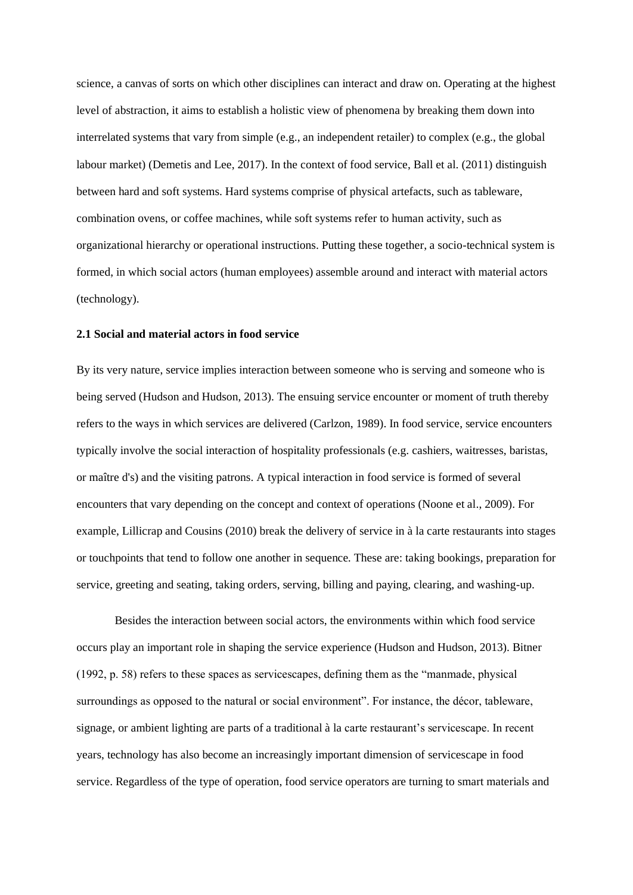science, a canvas of sorts on which other disciplines can interact and draw on. Operating at the highest level of abstraction, it aims to establish a holistic view of phenomena by breaking them down into interrelated systems that vary from simple (e.g., an independent retailer) to complex (e.g., the global labour market) (Demetis and Lee, 2017). In the context of food service, Ball et al. (2011) distinguish between hard and soft systems. Hard systems comprise of physical artefacts, such as tableware, combination ovens, or coffee machines, while soft systems refer to human activity, such as organizational hierarchy or operational instructions. Putting these together, a socio-technical system is formed, in which social actors (human employees) assemble around and interact with material actors (technology).

## **2.1 Social and material actors in food service**

By its very nature, service implies interaction between someone who is serving and someone who is being served (Hudson and Hudson, 2013). The ensuing service encounter or moment of truth thereby refers to the ways in which services are delivered (Carlzon, 1989). In food service, service encounters typically involve the social interaction of hospitality professionals (e.g. cashiers, waitresses, baristas, or maître d's) and the visiting patrons. A typical interaction in food service is formed of several encounters that vary depending on the concept and context of operations (Noone et al., 2009). For example, Lillicrap and Cousins (2010) break the delivery of service in à la carte restaurants into stages or touchpoints that tend to follow one another in sequence. These are: taking bookings, preparation for service, greeting and seating, taking orders, serving, billing and paying, clearing, and washing-up.

Besides the interaction between social actors, the environments within which food service occurs play an important role in shaping the service experience (Hudson and Hudson, 2013). Bitner (1992, p. 58) refers to these spaces as servicescapes, defining them as the "manmade, physical surroundings as opposed to the natural or social environment". For instance, the décor, tableware, signage, or ambient lighting are parts of a traditional à la carte restaurant's servicescape. In recent years, technology has also become an increasingly important dimension of servicescape in food service. Regardless of the type of operation, food service operators are turning to smart materials and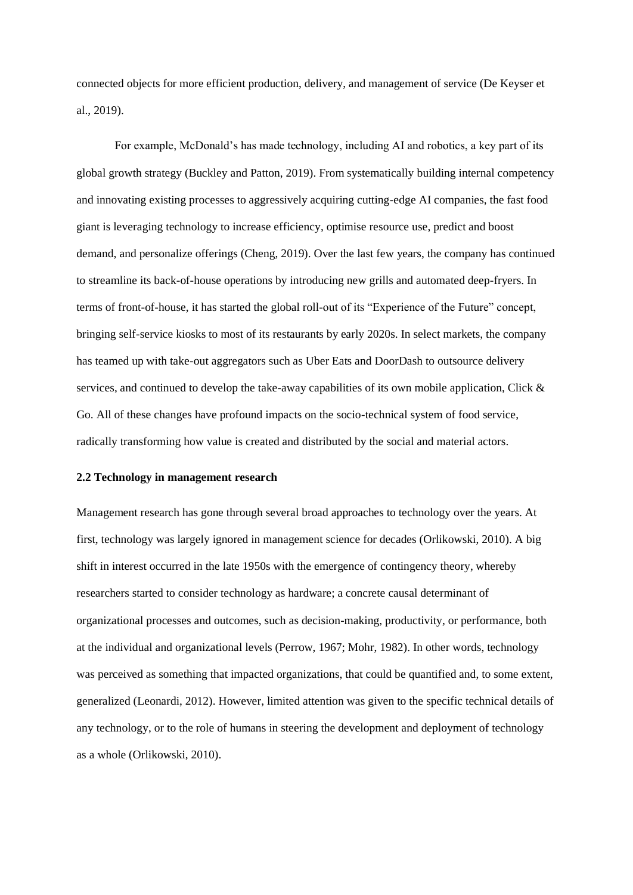connected objects for more efficient production, delivery, and management of service (De Keyser et al., 2019).

For example, McDonald's has made technology, including AI and robotics, a key part of its global growth strategy (Buckley and Patton, 2019). From systematically building internal competency and innovating existing processes to aggressively acquiring cutting-edge AI companies, the fast food giant is leveraging technology to increase efficiency, optimise resource use, predict and boost demand, and personalize offerings (Cheng, 2019). Over the last few years, the company has continued to streamline its back-of-house operations by introducing new grills and automated deep-fryers. In terms of front-of-house, it has started the global roll-out of its "Experience of the Future" concept, bringing self-service kiosks to most of its restaurants by early 2020s. In select markets, the company has teamed up with take-out aggregators such as Uber Eats and DoorDash to outsource delivery services, and continued to develop the take-away capabilities of its own mobile application, Click & Go. All of these changes have profound impacts on the socio-technical system of food service, radically transforming how value is created and distributed by the social and material actors.

#### **2.2 Technology in management research**

Management research has gone through several broad approaches to technology over the years. At first, technology was largely ignored in management science for decades (Orlikowski, 2010). A big shift in interest occurred in the late 1950s with the emergence of contingency theory, whereby researchers started to consider technology as hardware; a concrete causal determinant of organizational processes and outcomes, such as decision-making, productivity, or performance, both at the individual and organizational levels (Perrow, 1967; Mohr, 1982). In other words, technology was perceived as something that impacted organizations, that could be quantified and, to some extent, generalized (Leonardi, 2012). However, limited attention was given to the specific technical details of any technology, or to the role of humans in steering the development and deployment of technology as a whole (Orlikowski, 2010).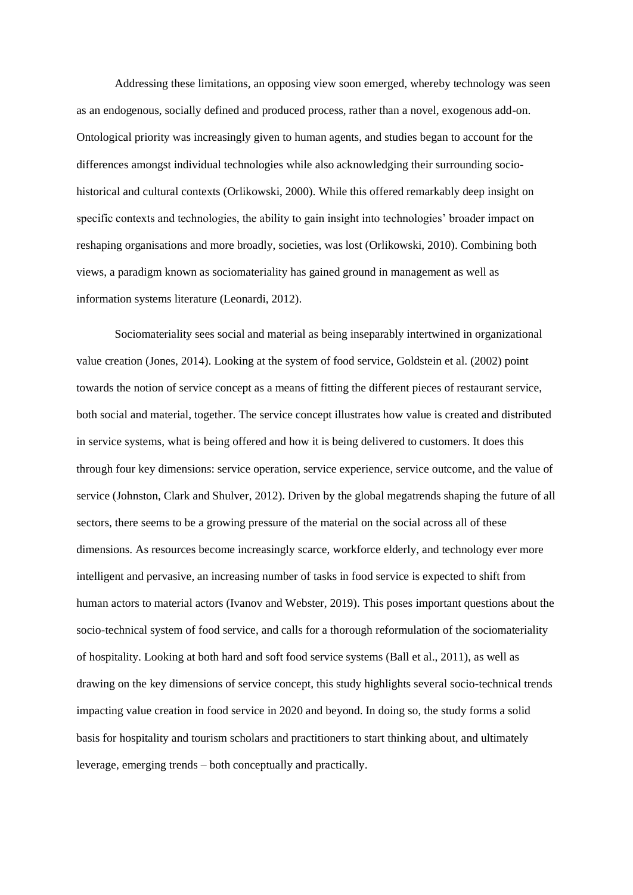Addressing these limitations, an opposing view soon emerged, whereby technology was seen as an endogenous, socially defined and produced process, rather than a novel, exogenous add-on. Ontological priority was increasingly given to human agents, and studies began to account for the differences amongst individual technologies while also acknowledging their surrounding sociohistorical and cultural contexts (Orlikowski, 2000). While this offered remarkably deep insight on specific contexts and technologies, the ability to gain insight into technologies' broader impact on reshaping organisations and more broadly, societies, was lost (Orlikowski, 2010). Combining both views, a paradigm known as sociomateriality has gained ground in management as well as information systems literature (Leonardi, 2012).

Sociomateriality sees social and material as being inseparably intertwined in organizational value creation (Jones, 2014). Looking at the system of food service, Goldstein et al. (2002) point towards the notion of service concept as a means of fitting the different pieces of restaurant service, both social and material, together. The service concept illustrates how value is created and distributed in service systems, what is being offered and how it is being delivered to customers. It does this through four key dimensions: service operation, service experience, service outcome, and the value of service (Johnston, Clark and Shulver, 2012). Driven by the global megatrends shaping the future of all sectors, there seems to be a growing pressure of the material on the social across all of these dimensions. As resources become increasingly scarce, workforce elderly, and technology ever more intelligent and pervasive, an increasing number of tasks in food service is expected to shift from human actors to material actors (Ivanov and Webster, 2019). This poses important questions about the socio-technical system of food service, and calls for a thorough reformulation of the sociomateriality of hospitality. Looking at both hard and soft food service systems (Ball et al., 2011), as well as drawing on the key dimensions of service concept, this study highlights several socio-technical trends impacting value creation in food service in 2020 and beyond. In doing so, the study forms a solid basis for hospitality and tourism scholars and practitioners to start thinking about, and ultimately leverage, emerging trends – both conceptually and practically.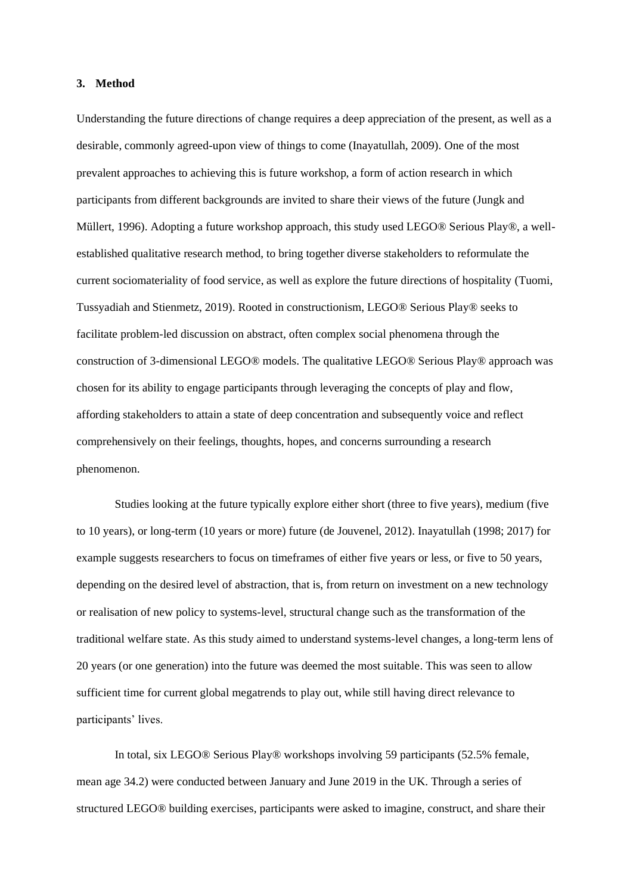#### **3. Method**

Understanding the future directions of change requires a deep appreciation of the present, as well as a desirable, commonly agreed-upon view of things to come (Inayatullah, 2009). One of the most prevalent approaches to achieving this is future workshop, a form of action research in which participants from different backgrounds are invited to share their views of the future (Jungk and Müllert, 1996). Adopting a future workshop approach, this study used LEGO® Serious Play®, a wellestablished qualitative research method, to bring together diverse stakeholders to reformulate the current sociomateriality of food service, as well as explore the future directions of hospitality (Tuomi, Tussyadiah and Stienmetz, 2019). Rooted in constructionism, LEGO® Serious Play® seeks to facilitate problem-led discussion on abstract, often complex social phenomena through the construction of 3-dimensional LEGO® models. The qualitative LEGO® Serious Play® approach was chosen for its ability to engage participants through leveraging the concepts of play and flow, affording stakeholders to attain a state of deep concentration and subsequently voice and reflect comprehensively on their feelings, thoughts, hopes, and concerns surrounding a research phenomenon.

Studies looking at the future typically explore either short (three to five years), medium (five to 10 years), or long-term (10 years or more) future (de Jouvenel, 2012). Inayatullah (1998; 2017) for example suggests researchers to focus on timeframes of either five years or less, or five to 50 years, depending on the desired level of abstraction, that is, from return on investment on a new technology or realisation of new policy to systems-level, structural change such as the transformation of the traditional welfare state. As this study aimed to understand systems-level changes, a long-term lens of 20 years (or one generation) into the future was deemed the most suitable. This was seen to allow sufficient time for current global megatrends to play out, while still having direct relevance to participants' lives.

In total, six LEGO® Serious Play® workshops involving 59 participants (52.5% female, mean age 34.2) were conducted between January and June 2019 in the UK. Through a series of structured LEGO® building exercises, participants were asked to imagine, construct, and share their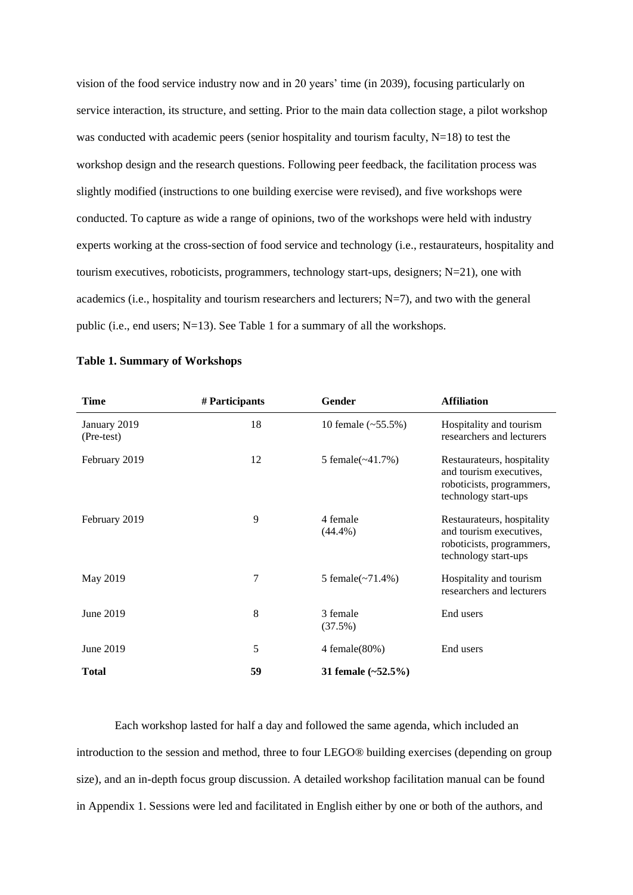vision of the food service industry now and in 20 years' time (in 2039), focusing particularly on service interaction, its structure, and setting. Prior to the main data collection stage, a pilot workshop was conducted with academic peers (senior hospitality and tourism faculty, N=18) to test the workshop design and the research questions. Following peer feedback, the facilitation process was slightly modified (instructions to one building exercise were revised), and five workshops were conducted. To capture as wide a range of opinions, two of the workshops were held with industry experts working at the cross-section of food service and technology (i.e., restaurateurs, hospitality and tourism executives, roboticists, programmers, technology start-ups, designers; N=21), one with academics (i.e., hospitality and tourism researchers and lecturers; N=7), and two with the general public (i.e., end users; N=13). See Table 1 for a summary of all the workshops.

| Time                       | # Participants | Gender                 | <b>Affiliation</b>                                                                                         |
|----------------------------|----------------|------------------------|------------------------------------------------------------------------------------------------------------|
| January 2019<br>(Pre-test) | 18             | 10 female (~55.5%)     | Hospitality and tourism<br>researchers and lecturers                                                       |
| February 2019              | 12             | 5 female(~41.7%)       | Restaurateurs, hospitality<br>and tourism executives,<br>roboticists, programmers,<br>technology start-ups |
| February 2019              | 9              | 4 female<br>$(44.4\%)$ | Restaurateurs, hospitality<br>and tourism executives,<br>roboticists, programmers,<br>technology start-ups |
| May 2019                   | 7              | 5 female(~71.4%)       | Hospitality and tourism<br>researchers and lecturers                                                       |
| June 2019                  | 8              | 3 female<br>(37.5%)    | End users                                                                                                  |
| June 2019                  | 5              | 4 female(80%)          | End users                                                                                                  |
| <b>Total</b>               | 59             | 31 female $(-52.5%)$   |                                                                                                            |

## **Table 1. Summary of Workshops**

Each workshop lasted for half a day and followed the same agenda, which included an introduction to the session and method, three to four LEGO® building exercises (depending on group size), and an in-depth focus group discussion. A detailed workshop facilitation manual can be found in Appendix 1. Sessions were led and facilitated in English either by one or both of the authors, and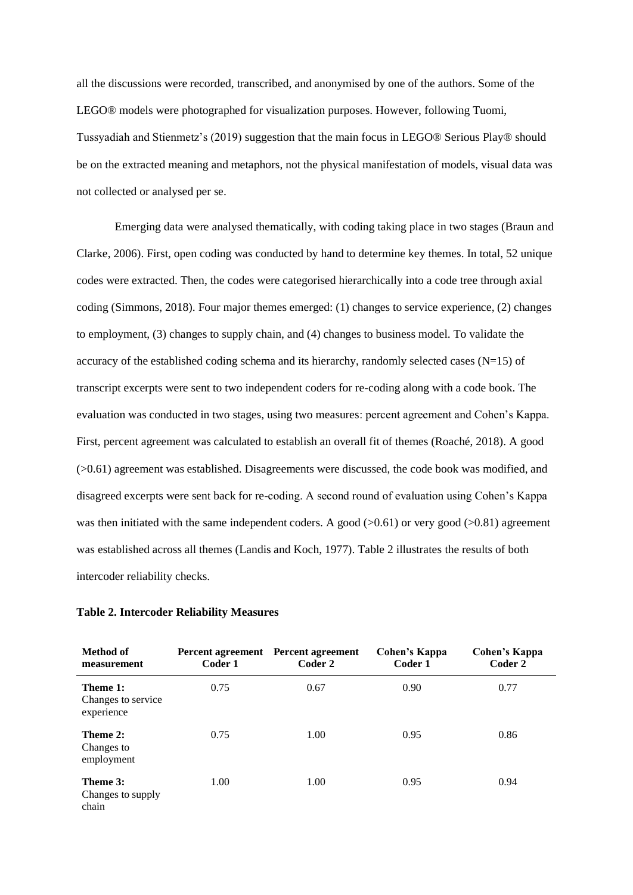all the discussions were recorded, transcribed, and anonymised by one of the authors. Some of the LEGO® models were photographed for visualization purposes. However, following Tuomi, Tussyadiah and Stienmetz's (2019) suggestion that the main focus in LEGO® Serious Play® should be on the extracted meaning and metaphors, not the physical manifestation of models, visual data was not collected or analysed per se.

Emerging data were analysed thematically, with coding taking place in two stages (Braun and Clarke, 2006). First, open coding was conducted by hand to determine key themes. In total, 52 unique codes were extracted. Then, the codes were categorised hierarchically into a code tree through axial coding (Simmons, 2018). Four major themes emerged: (1) changes to service experience, (2) changes to employment, (3) changes to supply chain, and (4) changes to business model. To validate the accuracy of the established coding schema and its hierarchy, randomly selected cases  $(N=15)$  of transcript excerpts were sent to two independent coders for re-coding along with a code book. The evaluation was conducted in two stages, using two measures: percent agreement and Cohen's Kappa. First, percent agreement was calculated to establish an overall fit of themes (Roaché, 2018). A good (>0.61) agreement was established. Disagreements were discussed, the code book was modified, and disagreed excerpts were sent back for re-coding. A second round of evaluation using Cohen's Kappa was then initiated with the same independent coders. A good  $(>0.61)$  or very good  $(>0.81)$  agreement was established across all themes (Landis and Koch, 1977). Table 2 illustrates the results of both intercoder reliability checks.

| Method of<br>measurement                     | Coder 1 | Percent agreement Percent agreement<br>Coder 2 | Cohen's Kappa<br>Coder 1 | Cohen's Kappa<br>Coder 2 |
|----------------------------------------------|---------|------------------------------------------------|--------------------------|--------------------------|
| Theme 1:<br>Changes to service<br>experience | 0.75    | 0.67                                           | 0.90                     | 0.77                     |
| Theme 2:<br>Changes to<br>employment         | 0.75    | 1.00                                           | 0.95                     | 0.86                     |
| Theme 3:<br>Changes to supply<br>chain       | 1.00    | 1.00                                           | 0.95                     | 0.94                     |

## **Table 2. Intercoder Reliability Measures**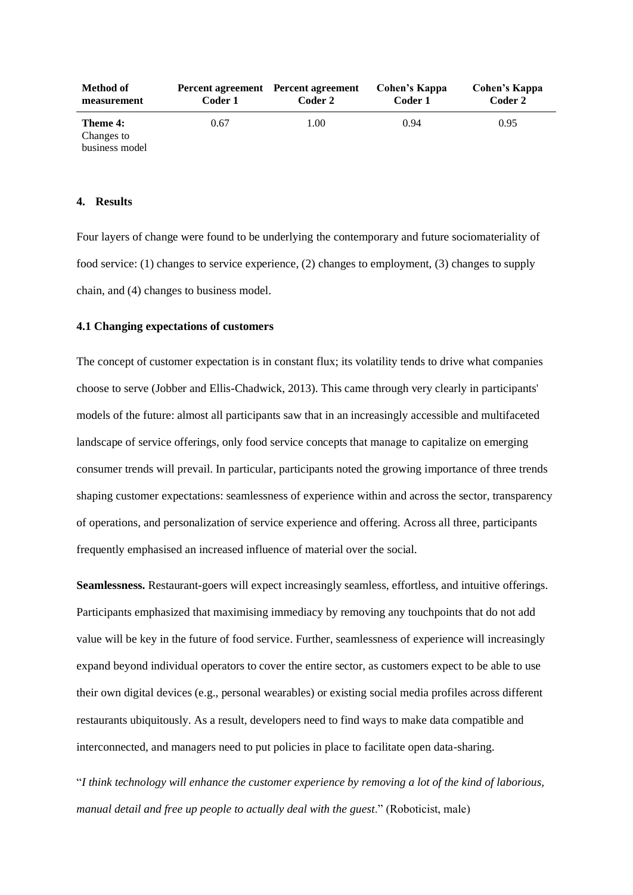| Method of<br>measurement | Coder 1 | Percent agreement Percent agreement<br>Coder 2 | Cohen's Kappa<br>Coder 1 | Cohen's Kappa<br>Coder 2 |
|--------------------------|---------|------------------------------------------------|--------------------------|--------------------------|
| Theme 4:                 | 0.67    | 1.00                                           | 0.94                     | 0.95                     |
| Changes to               |         |                                                |                          |                          |
| business model           |         |                                                |                          |                          |

## **4. Results**

Four layers of change were found to be underlying the contemporary and future sociomateriality of food service: (1) changes to service experience, (2) changes to employment, (3) changes to supply chain, and (4) changes to business model.

## **4.1 Changing expectations of customers**

The concept of customer expectation is in constant flux; its volatility tends to drive what companies choose to serve (Jobber and Ellis-Chadwick, 2013). This came through very clearly in participants' models of the future: almost all participants saw that in an increasingly accessible and multifaceted landscape of service offerings, only food service concepts that manage to capitalize on emerging consumer trends will prevail. In particular, participants noted the growing importance of three trends shaping customer expectations: seamlessness of experience within and across the sector, transparency of operations, and personalization of service experience and offering. Across all three, participants frequently emphasised an increased influence of material over the social.

**Seamlessness.** Restaurant-goers will expect increasingly seamless, effortless, and intuitive offerings. Participants emphasized that maximising immediacy by removing any touchpoints that do not add value will be key in the future of food service. Further, seamlessness of experience will increasingly expand beyond individual operators to cover the entire sector, as customers expect to be able to use their own digital devices (e.g., personal wearables) or existing social media profiles across different restaurants ubiquitously. As a result, developers need to find ways to make data compatible and interconnected, and managers need to put policies in place to facilitate open data-sharing.

"*I think technology will enhance the customer experience by removing a lot of the kind of laborious, manual detail and free up people to actually deal with the guest.*" (Roboticist, male)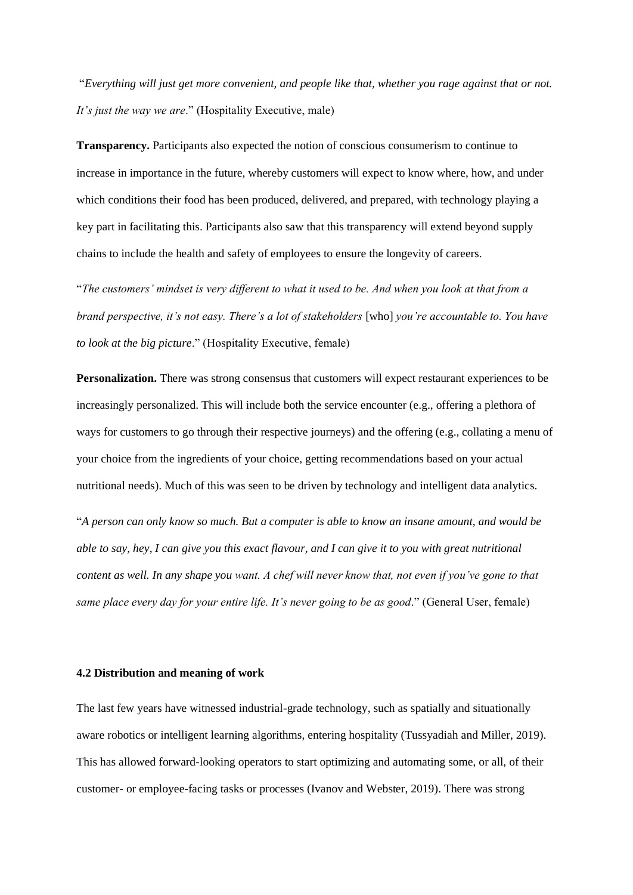"*Everything will just get more convenient, and people like that, whether you rage against that or not. It's just the way we are*." (Hospitality Executive, male)

**Transparency.** Participants also expected the notion of conscious consumerism to continue to increase in importance in the future, whereby customers will expect to know where, how, and under which conditions their food has been produced, delivered, and prepared, with technology playing a key part in facilitating this. Participants also saw that this transparency will extend beyond supply chains to include the health and safety of employees to ensure the longevity of careers.

"*The customers' mindset is very different to what it used to be. And when you look at that from a brand perspective, it's not easy. There's a lot of stakeholders* [who] *you're accountable to. You have to look at the big picture*." (Hospitality Executive, female)

**Personalization.** There was strong consensus that customers will expect restaurant experiences to be increasingly personalized. This will include both the service encounter (e.g., offering a plethora of ways for customers to go through their respective journeys) and the offering (e.g., collating a menu of your choice from the ingredients of your choice, getting recommendations based on your actual nutritional needs). Much of this was seen to be driven by technology and intelligent data analytics.

"*A person can only know so much. But a computer is able to know an insane amount, and would be able to say, hey, I can give you this exact flavour, and I can give it to you with great nutritional content as well. In any shape you want. A chef will never know that, not even if you've gone to that same place every day for your entire life. It's never going to be as good*." (General User, female)

# **4.2 Distribution and meaning of work**

The last few years have witnessed industrial-grade technology, such as spatially and situationally aware robotics or intelligent learning algorithms, entering hospitality (Tussyadiah and Miller, 2019). This has allowed forward-looking operators to start optimizing and automating some, or all, of their customer- or employee-facing tasks or processes (Ivanov and Webster, 2019). There was strong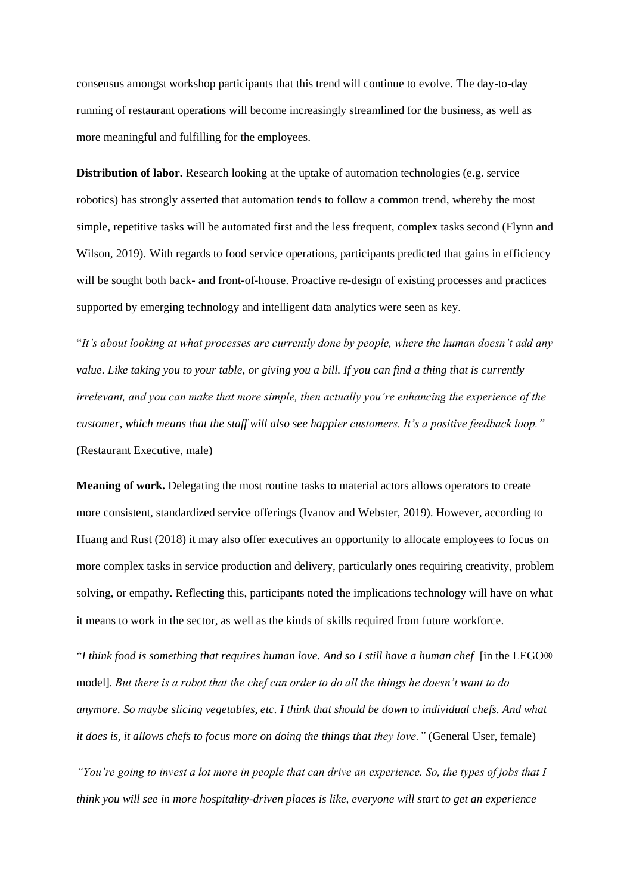consensus amongst workshop participants that this trend will continue to evolve. The day-to-day running of restaurant operations will become increasingly streamlined for the business, as well as more meaningful and fulfilling for the employees.

**Distribution of labor.** Research looking at the uptake of automation technologies (e.g. service robotics) has strongly asserted that automation tends to follow a common trend, whereby the most simple, repetitive tasks will be automated first and the less frequent, complex tasks second (Flynn and Wilson, 2019). With regards to food service operations, participants predicted that gains in efficiency will be sought both back- and front-of-house. Proactive re-design of existing processes and practices supported by emerging technology and intelligent data analytics were seen as key.

"*It's about looking at what processes are currently done by people, where the human doesn't add any value. Like taking you to your table, or giving you a bill. If you can find a thing that is currently irrelevant, and you can make that more simple, then actually you're enhancing the experience of the customer, which means that the staff will also see happier customers. It's a positive feedback loop."* (Restaurant Executive, male)

**Meaning of work.** Delegating the most routine tasks to material actors allows operators to create more consistent, standardized service offerings (Ivanov and Webster, 2019). However, according to Huang and Rust (2018) it may also offer executives an opportunity to allocate employees to focus on more complex tasks in service production and delivery, particularly ones requiring creativity, problem solving, or empathy. Reflecting this, participants noted the implications technology will have on what it means to work in the sector, as well as the kinds of skills required from future workforce.

"*I think food is something that requires human love. And so I still have a human chef* [in the LEGO® model]. *But there is a robot that the chef can order to do all the things he doesn't want to do anymore. So maybe slicing vegetables, etc. I think that should be down to individual chefs. And what it does is, it allows chefs to focus more on doing the things that they love." (General User, female)* 

*"You're going to invest a lot more in people that can drive an experience. So, the types of jobs that I think you will see in more hospitality-driven places is like, everyone will start to get an experience*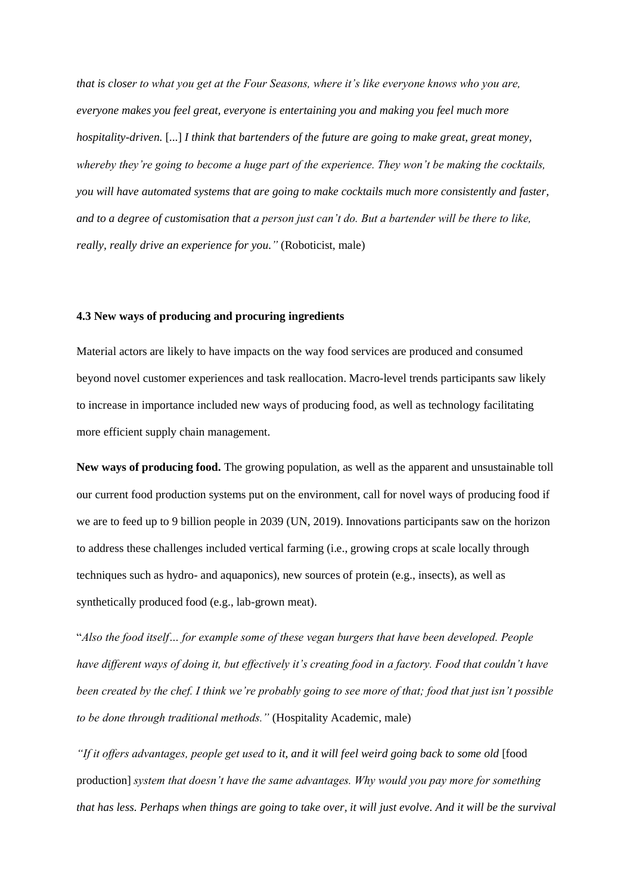*that is closer to what you get at the Four Seasons, where it's like everyone knows who you are, everyone makes you feel great, everyone is entertaining you and making you feel much more hospitality-driven.* [...] *I think that bartenders of the future are going to make great, great money, whereby they're going to become a huge part of the experience. They won't be making the cocktails, you will have automated systems that are going to make cocktails much more consistently and faster, and to a degree of customisation that a person just can't do. But a bartender will be there to like, really, really drive an experience for you."* (Roboticist, male)

## **4.3 New ways of producing and procuring ingredients**

Material actors are likely to have impacts on the way food services are produced and consumed beyond novel customer experiences and task reallocation. Macro-level trends participants saw likely to increase in importance included new ways of producing food, as well as technology facilitating more efficient supply chain management.

**New ways of producing food.** The growing population, as well as the apparent and unsustainable toll our current food production systems put on the environment, call for novel ways of producing food if we are to feed up to 9 billion people in 2039 (UN, 2019). Innovations participants saw on the horizon to address these challenges included vertical farming (i.e., growing crops at scale locally through techniques such as hydro- and aquaponics), new sources of protein (e.g., insects), as well as synthetically produced food (e.g., lab-grown meat).

"*Also the food itself… for example some of these vegan burgers that have been developed. People have different ways of doing it, but effectively it's creating food in a factory. Food that couldn't have been created by the chef. I think we're probably going to see more of that; food that just isn't possible to be done through traditional methods."* (Hospitality Academic, male)

*"If it offers advantages, people get used to it, and it will feel weird going back to some old* [food production] *system that doesn't have the same advantages. Why would you pay more for something that has less. Perhaps when things are going to take over, it will just evolve. And it will be the survival*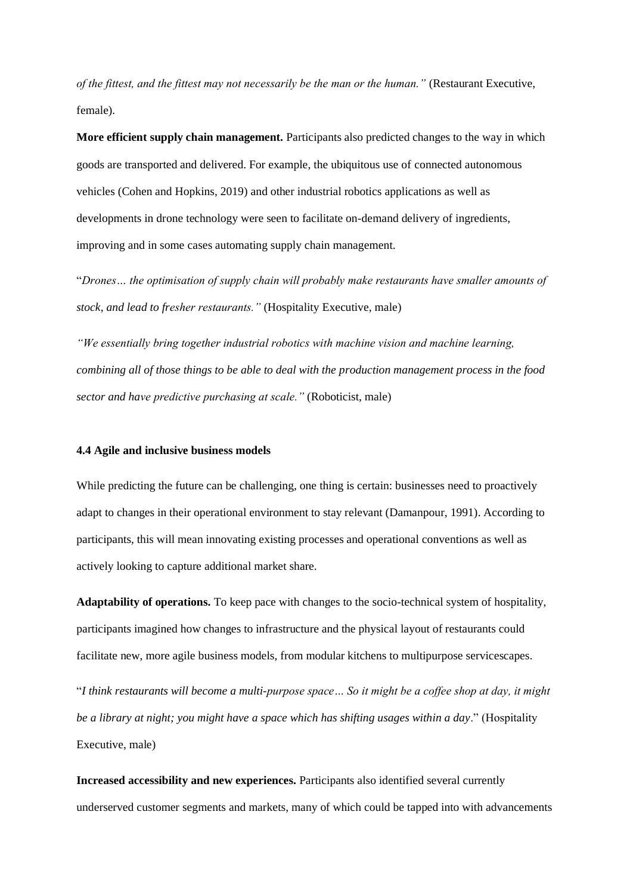*of the fittest, and the fittest may not necessarily be the man or the human."* (Restaurant Executive, female).

**More efficient supply chain management.** Participants also predicted changes to the way in which goods are transported and delivered. For example, the ubiquitous use of connected autonomous vehicles (Cohen and Hopkins, 2019) and other industrial robotics applications as well as developments in drone technology were seen to facilitate on-demand delivery of ingredients, improving and in some cases automating supply chain management.

"*Drones… the optimisation of supply chain will probably make restaurants have smaller amounts of stock, and lead to fresher restaurants."* (Hospitality Executive, male)

*"We essentially bring together industrial robotics with machine vision and machine learning, combining all of those things to be able to deal with the production management process in the food sector and have predictive purchasing at scale."* (Roboticist, male)

## **4.4 Agile and inclusive business models**

While predicting the future can be challenging, one thing is certain: businesses need to proactively adapt to changes in their operational environment to stay relevant (Damanpour, 1991). According to participants, this will mean innovating existing processes and operational conventions as well as actively looking to capture additional market share.

**Adaptability of operations.** To keep pace with changes to the socio-technical system of hospitality, participants imagined how changes to infrastructure and the physical layout of restaurants could facilitate new, more agile business models, from modular kitchens to multipurpose servicescapes.

"*I think restaurants will become a multi-purpose space… So it might be a coffee shop at day, it might be a library at night; you might have a space which has shifting usages within a day*." (Hospitality Executive, male)

**Increased accessibility and new experiences.** Participants also identified several currently underserved customer segments and markets, many of which could be tapped into with advancements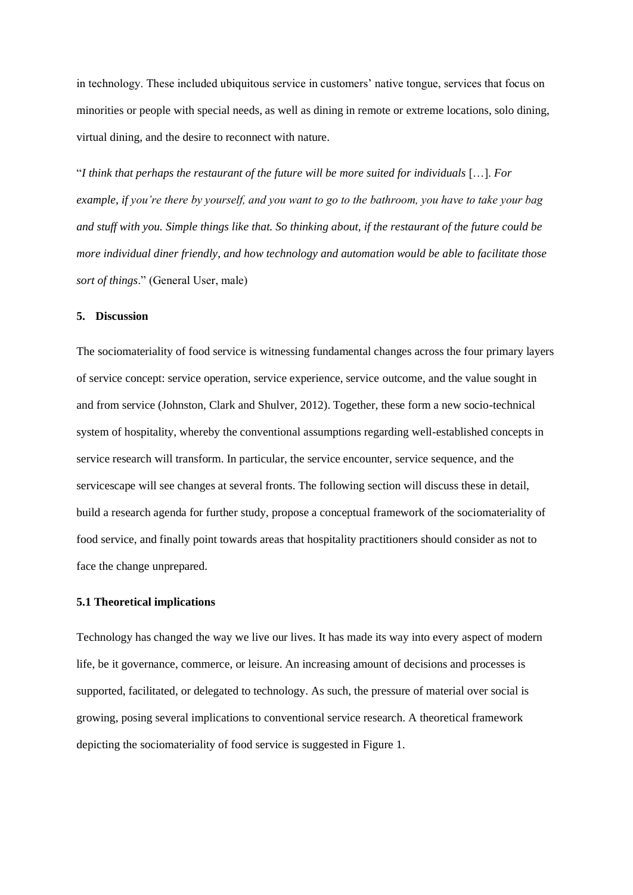in technology. These included ubiquitous service in customers' native tongue, services that focus on minorities or people with special needs, as well as dining in remote or extreme locations, solo dining, virtual dining, and the desire to reconnect with nature.

"*I think that perhaps the restaurant of the future will be more suited for individuals* […]. *For example, if you're there by yourself, and you want to go to the bathroom, you have to take your bag and stuff with you. Simple things like that. So thinking about, if the restaurant of the future could be more individual diner friendly, and how technology and automation would be able to facilitate those sort of things*." (General User, male)

## **5. Discussion**

The sociomateriality of food service is witnessing fundamental changes across the four primary layers of service concept: service operation, service experience, service outcome, and the value sought in and from service (Johnston, Clark and Shulver, 2012). Together, these form a new socio-technical system of hospitality, whereby the conventional assumptions regarding well-established concepts in service research will transform. In particular, the service encounter, service sequence, and the servicescape will see changes at several fronts. The following section will discuss these in detail, build a research agenda for further study, propose a conceptual framework of the sociomateriality of food service, and finally point towards areas that hospitality practitioners should consider as not to face the change unprepared.

## **5.1 Theoretical implications**

Technology has changed the way we live our lives. It has made its way into every aspect of modern life, be it governance, commerce, or leisure. An increasing amount of decisions and processes is supported, facilitated, or delegated to technology. As such, the pressure of material over social is growing, posing several implications to conventional service research. A theoretical framework depicting the sociomateriality of food service is suggested in Figure 1.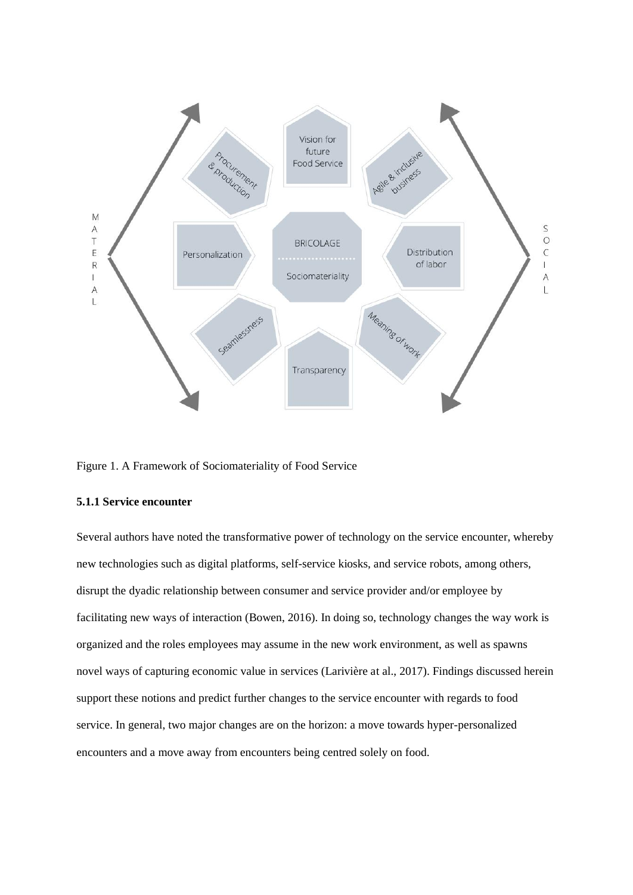

Figure 1. A Framework of Sociomateriality of Food Service

# **5.1.1 Service encounter**

Several authors have noted the transformative power of technology on the service encounter, whereby new technologies such as digital platforms, self-service kiosks, and service robots, among others, disrupt the dyadic relationship between consumer and service provider and/or employee by facilitating new ways of interaction (Bowen, 2016). In doing so, technology changes the way work is organized and the roles employees may assume in the new work environment, as well as spawns novel ways of capturing economic value in services (Larivière at al., 2017). Findings discussed herein support these notions and predict further changes to the service encounter with regards to food service. In general, two major changes are on the horizon: a move towards hyper-personalized encounters and a move away from encounters being centred solely on food.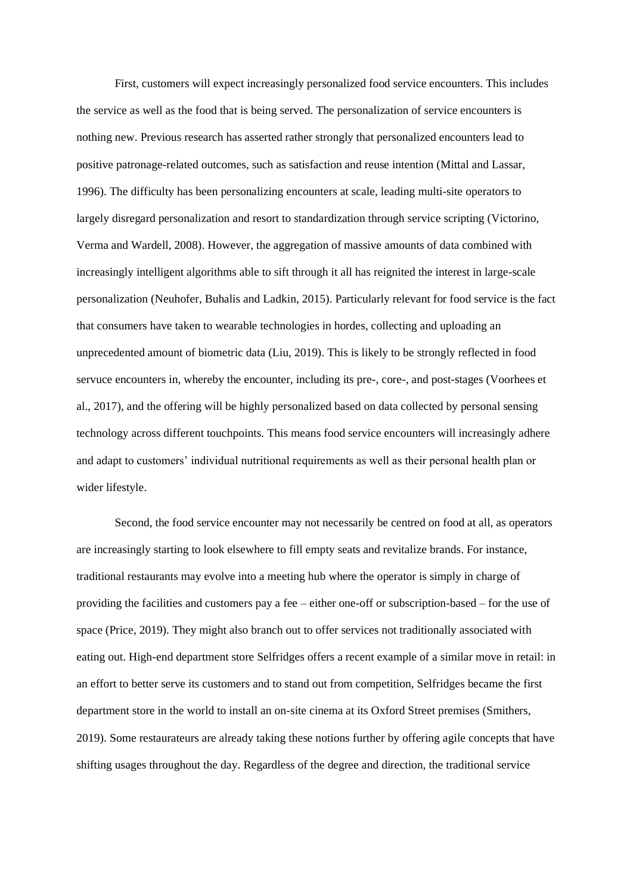First, customers will expect increasingly personalized food service encounters. This includes the service as well as the food that is being served. The personalization of service encounters is nothing new. Previous research has asserted rather strongly that personalized encounters lead to positive patronage-related outcomes, such as satisfaction and reuse intention (Mittal and Lassar, 1996). The difficulty has been personalizing encounters at scale, leading multi-site operators to largely disregard personalization and resort to standardization through service scripting (Victorino, Verma and Wardell, 2008). However, the aggregation of massive amounts of data combined with increasingly intelligent algorithms able to sift through it all has reignited the interest in large-scale personalization (Neuhofer, Buhalis and Ladkin, 2015). Particularly relevant for food service is the fact that consumers have taken to wearable technologies in hordes, collecting and uploading an unprecedented amount of biometric data (Liu, 2019). This is likely to be strongly reflected in food servuce encounters in, whereby the encounter, including its pre-, core-, and post-stages (Voorhees et al., 2017), and the offering will be highly personalized based on data collected by personal sensing technology across different touchpoints. This means food service encounters will increasingly adhere and adapt to customers' individual nutritional requirements as well as their personal health plan or wider lifestyle.

Second, the food service encounter may not necessarily be centred on food at all, as operators are increasingly starting to look elsewhere to fill empty seats and revitalize brands. For instance, traditional restaurants may evolve into a meeting hub where the operator is simply in charge of providing the facilities and customers pay a fee – either one-off or subscription-based – for the use of space (Price, 2019). They might also branch out to offer services not traditionally associated with eating out. High-end department store Selfridges offers a recent example of a similar move in retail: in an effort to better serve its customers and to stand out from competition, Selfridges became the first department store in the world to install an on-site cinema at its Oxford Street premises (Smithers, 2019). Some restaurateurs are already taking these notions further by offering agile concepts that have shifting usages throughout the day. Regardless of the degree and direction, the traditional service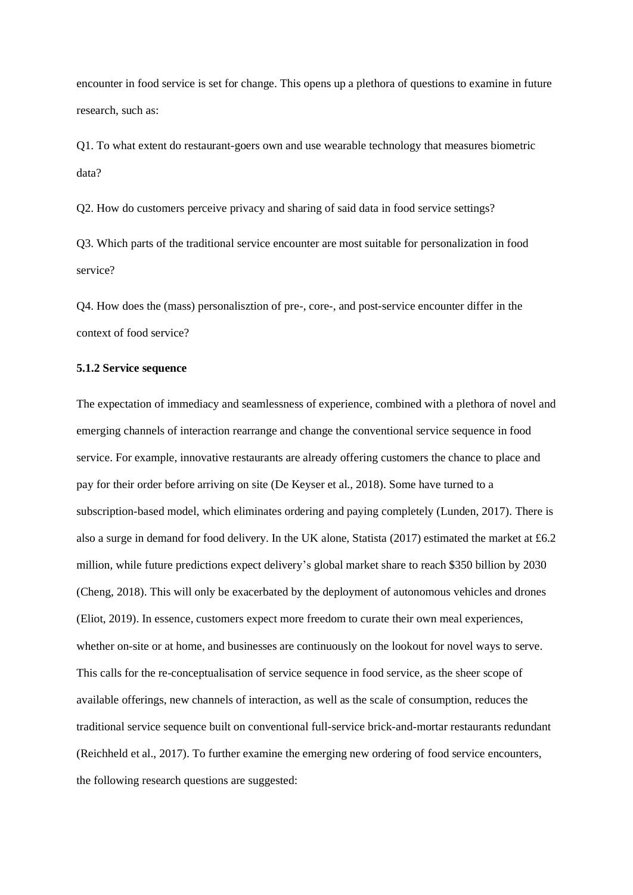encounter in food service is set for change. This opens up a plethora of questions to examine in future research, such as:

Q1. To what extent do restaurant-goers own and use wearable technology that measures biometric data?

Q2. How do customers perceive privacy and sharing of said data in food service settings?

Q3. Which parts of the traditional service encounter are most suitable for personalization in food service?

Q4. How does the (mass) personalisztion of pre-, core-, and post-service encounter differ in the context of food service?

## **5.1.2 Service sequence**

The expectation of immediacy and seamlessness of experience, combined with a plethora of novel and emerging channels of interaction rearrange and change the conventional service sequence in food service. For example, innovative restaurants are already offering customers the chance to place and pay for their order before arriving on site (De Keyser et al., 2018). Some have turned to a subscription-based model, which eliminates ordering and paying completely (Lunden, 2017). There is also a surge in demand for food delivery. In the UK alone, Statista (2017) estimated the market at £6.2 million, while future predictions expect delivery's global market share to reach \$350 billion by 2030 (Cheng, 2018). This will only be exacerbated by the deployment of autonomous vehicles and drones (Eliot, 2019). In essence, customers expect more freedom to curate their own meal experiences, whether on-site or at home, and businesses are continuously on the lookout for novel ways to serve. This calls for the re-conceptualisation of service sequence in food service, as the sheer scope of available offerings, new channels of interaction, as well as the scale of consumption, reduces the traditional service sequence built on conventional full-service brick-and-mortar restaurants redundant (Reichheld et al., 2017). To further examine the emerging new ordering of food service encounters, the following research questions are suggested: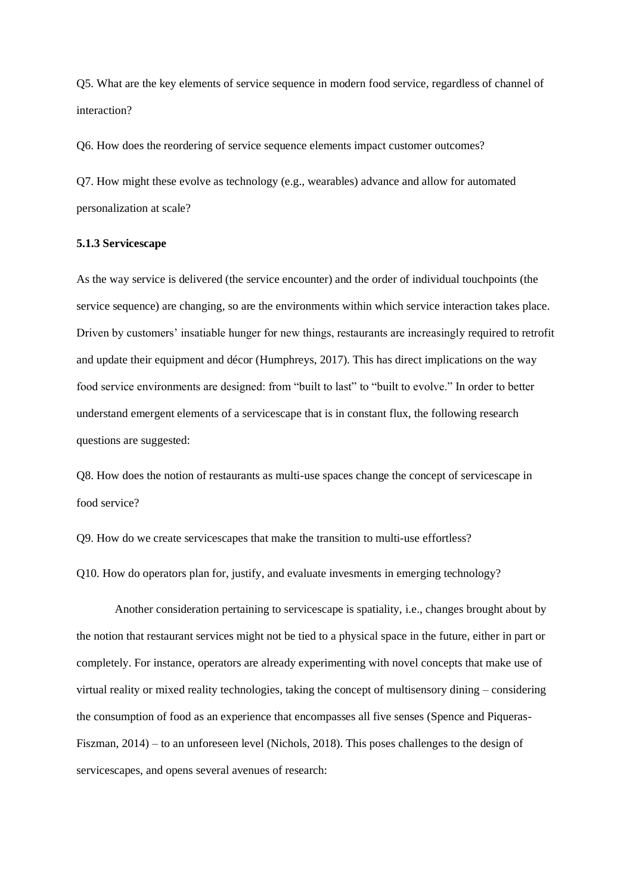Q5. What are the key elements of service sequence in modern food service, regardless of channel of interaction?

Q6. How does the reordering of service sequence elements impact customer outcomes?

Q7. How might these evolve as technology (e.g., wearables) advance and allow for automated personalization at scale?

# **5.1.3 Servicescape**

As the way service is delivered (the service encounter) and the order of individual touchpoints (the service sequence) are changing, so are the environments within which service interaction takes place. Driven by customers' insatiable hunger for new things, restaurants are increasingly required to retrofit and update their equipment and décor (Humphreys, 2017). This has direct implications on the way food service environments are designed: from "built to last" to "built to evolve." In order to better understand emergent elements of a servicescape that is in constant flux, the following research questions are suggested:

Q8. How does the notion of restaurants as multi-use spaces change the concept of servicescape in food service?

Q9. How do we create servicescapes that make the transition to multi-use effortless?

Q10. How do operators plan for, justify, and evaluate invesments in emerging technology?

Another consideration pertaining to servicescape is spatiality, i.e., changes brought about by the notion that restaurant services might not be tied to a physical space in the future, either in part or completely. For instance, operators are already experimenting with novel concepts that make use of virtual reality or mixed reality technologies, taking the concept of multisensory dining – considering the consumption of food as an experience that encompasses all five senses (Spence and Piqueras-Fiszman, 2014) – to an unforeseen level (Nichols, 2018). This poses challenges to the design of servicescapes, and opens several avenues of research: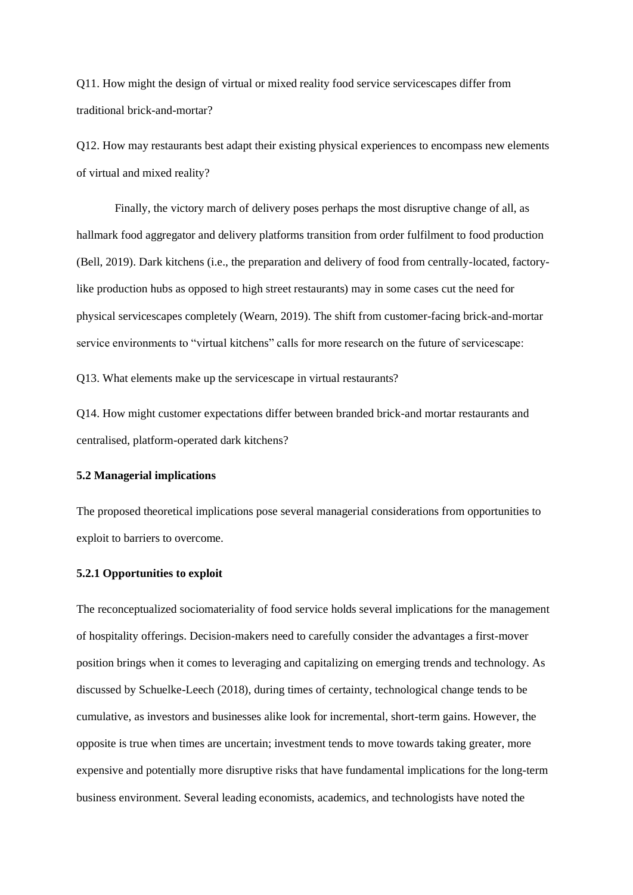Q11. How might the design of virtual or mixed reality food service servicescapes differ from traditional brick-and-mortar?

Q12. How may restaurants best adapt their existing physical experiences to encompass new elements of virtual and mixed reality?

Finally, the victory march of delivery poses perhaps the most disruptive change of all, as hallmark food aggregator and delivery platforms transition from order fulfilment to food production (Bell, 2019). Dark kitchens (i.e., the preparation and delivery of food from centrally-located, factorylike production hubs as opposed to high street restaurants) may in some cases cut the need for physical servicescapes completely (Wearn, 2019). The shift from customer-facing brick-and-mortar service environments to "virtual kitchens" calls for more research on the future of servicescape:

Q13. What elements make up the servicescape in virtual restaurants?

Q14. How might customer expectations differ between branded brick-and mortar restaurants and centralised, platform-operated dark kitchens?

## **5.2 Managerial implications**

The proposed theoretical implications pose several managerial considerations from opportunities to exploit to barriers to overcome.

## **5.2.1 Opportunities to exploit**

The reconceptualized sociomateriality of food service holds several implications for the management of hospitality offerings. Decision-makers need to carefully consider the advantages a first-mover position brings when it comes to leveraging and capitalizing on emerging trends and technology. As discussed by Schuelke-Leech (2018), during times of certainty, technological change tends to be cumulative, as investors and businesses alike look for incremental, short-term gains. However, the opposite is true when times are uncertain; investment tends to move towards taking greater, more expensive and potentially more disruptive risks that have fundamental implications for the long-term business environment. Several leading economists, academics, and technologists have noted the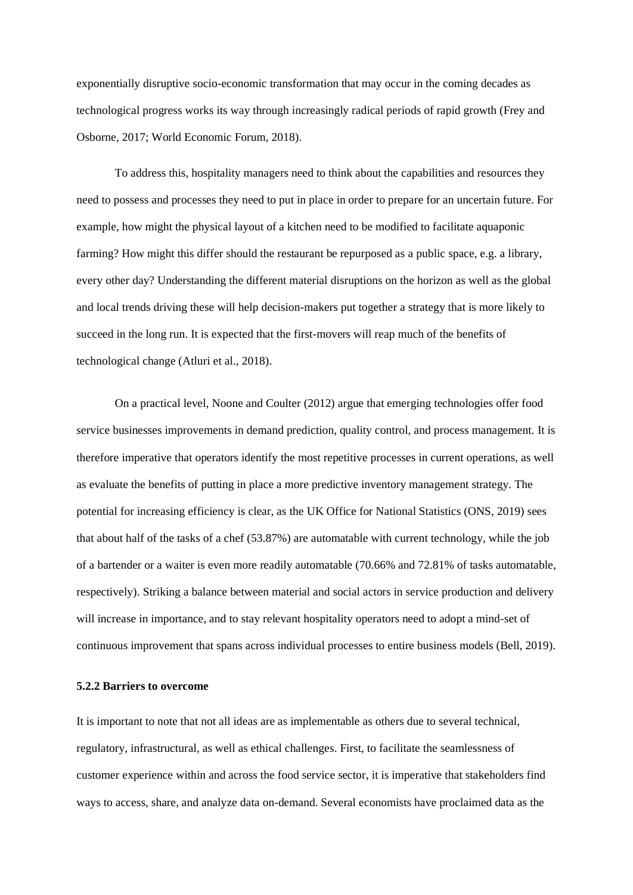exponentially disruptive socio-economic transformation that may occur in the coming decades as technological progress works its way through increasingly radical periods of rapid growth (Frey and Osborne, 2017; World Economic Forum, 2018).

To address this, hospitality managers need to think about the capabilities and resources they need to possess and processes they need to put in place in order to prepare for an uncertain future. For example, how might the physical layout of a kitchen need to be modified to facilitate aquaponic farming? How might this differ should the restaurant be repurposed as a public space, e.g. a library, every other day? Understanding the different material disruptions on the horizon as well as the global and local trends driving these will help decision-makers put together a strategy that is more likely to succeed in the long run. It is expected that the first-movers will reap much of the benefits of technological change (Atluri et al., 2018).

On a practical level, Noone and Coulter (2012) argue that emerging technologies offer food service businesses improvements in demand prediction, quality control, and process management. It is therefore imperative that operators identify the most repetitive processes in current operations, as well as evaluate the benefits of putting in place a more predictive inventory management strategy. The potential for increasing efficiency is clear, as the UK Office for National Statistics (ONS, 2019) sees that about half of the tasks of a chef (53.87%) are automatable with current technology, while the job of a bartender or a waiter is even more readily automatable (70.66% and 72.81% of tasks automatable, respectively). Striking a balance between material and social actors in service production and delivery will increase in importance, and to stay relevant hospitality operators need to adopt a mind-set of continuous improvement that spans across individual processes to entire business models (Bell, 2019).

#### **5.2.2 Barriers to overcome**

It is important to note that not all ideas are as implementable as others due to several technical, regulatory, infrastructural, as well as ethical challenges. First, to facilitate the seamlessness of customer experience within and across the food service sector, it is imperative that stakeholders find ways to access, share, and analyze data on-demand. Several economists have proclaimed data as the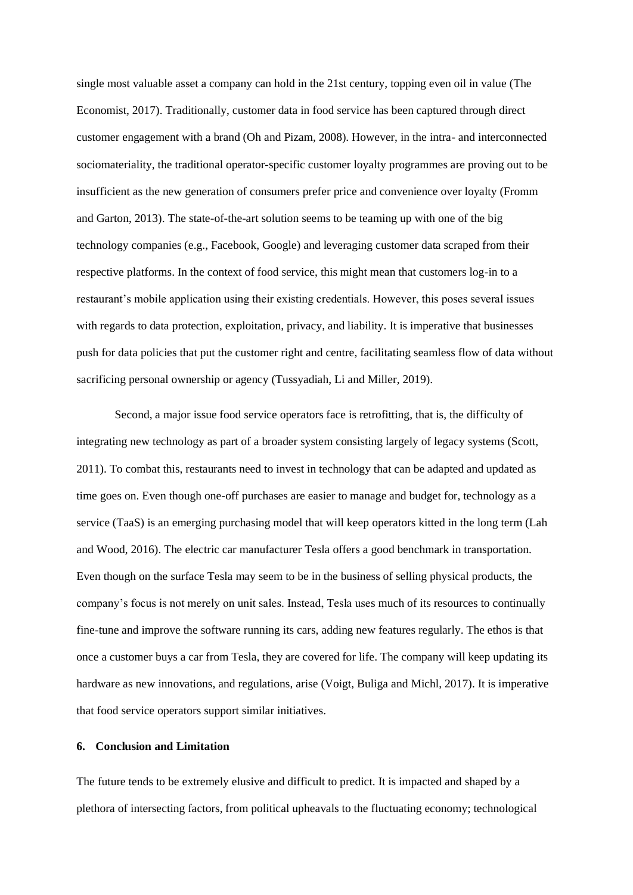single most valuable asset a company can hold in the 21st century, topping even oil in value (The Economist, 2017). Traditionally, customer data in food service has been captured through direct customer engagement with a brand (Oh and Pizam, 2008). However, in the intra- and interconnected sociomateriality, the traditional operator-specific customer loyalty programmes are proving out to be insufficient as the new generation of consumers prefer price and convenience over loyalty (Fromm and Garton, 2013). The state-of-the-art solution seems to be teaming up with one of the big technology companies (e.g., Facebook, Google) and leveraging customer data scraped from their respective platforms. In the context of food service, this might mean that customers log-in to a restaurant's mobile application using their existing credentials. However, this poses several issues with regards to data protection, exploitation, privacy, and liability. It is imperative that businesses push for data policies that put the customer right and centre, facilitating seamless flow of data without sacrificing personal ownership or agency (Tussyadiah, Li and Miller, 2019).

Second, a major issue food service operators face is retrofitting, that is, the difficulty of integrating new technology as part of a broader system consisting largely of legacy systems (Scott, 2011). To combat this, restaurants need to invest in technology that can be adapted and updated as time goes on. Even though one-off purchases are easier to manage and budget for, technology as a service (TaaS) is an emerging purchasing model that will keep operators kitted in the long term (Lah and Wood, 2016). The electric car manufacturer Tesla offers a good benchmark in transportation. Even though on the surface Tesla may seem to be in the business of selling physical products, the company's focus is not merely on unit sales. Instead, Tesla uses much of its resources to continually fine-tune and improve the software running its cars, adding new features regularly. The ethos is that once a customer buys a car from Tesla, they are covered for life. The company will keep updating its hardware as new innovations, and regulations, arise (Voigt, Buliga and Michl, 2017). It is imperative that food service operators support similar initiatives.

# **6. Conclusion and Limitation**

The future tends to be extremely elusive and difficult to predict. It is impacted and shaped by a plethora of intersecting factors, from political upheavals to the fluctuating economy; technological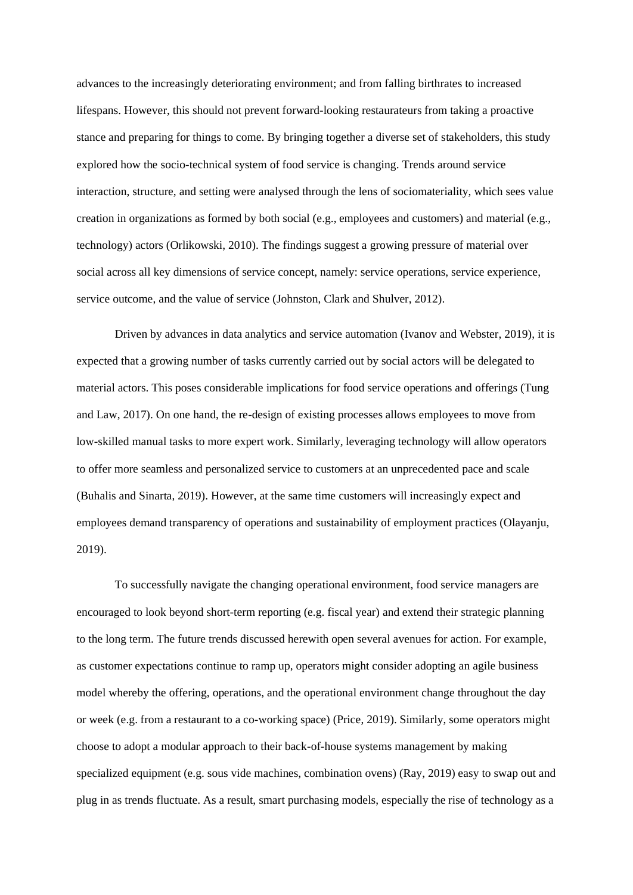advances to the increasingly deteriorating environment; and from falling birthrates to increased lifespans. However, this should not prevent forward-looking restaurateurs from taking a proactive stance and preparing for things to come. By bringing together a diverse set of stakeholders, this study explored how the socio-technical system of food service is changing. Trends around service interaction, structure, and setting were analysed through the lens of sociomateriality, which sees value creation in organizations as formed by both social (e.g., employees and customers) and material (e.g., technology) actors (Orlikowski, 2010). The findings suggest a growing pressure of material over social across all key dimensions of service concept, namely: service operations, service experience, service outcome, and the value of service (Johnston, Clark and Shulver, 2012).

Driven by advances in data analytics and service automation (Ivanov and Webster, 2019), it is expected that a growing number of tasks currently carried out by social actors will be delegated to material actors. This poses considerable implications for food service operations and offerings (Tung and Law, 2017). On one hand, the re-design of existing processes allows employees to move from low-skilled manual tasks to more expert work. Similarly, leveraging technology will allow operators to offer more seamless and personalized service to customers at an unprecedented pace and scale (Buhalis and Sinarta, 2019). However, at the same time customers will increasingly expect and employees demand transparency of operations and sustainability of employment practices (Olayanju, 2019).

To successfully navigate the changing operational environment, food service managers are encouraged to look beyond short-term reporting (e.g. fiscal year) and extend their strategic planning to the long term. The future trends discussed herewith open several avenues for action. For example, as customer expectations continue to ramp up, operators might consider adopting an agile business model whereby the offering, operations, and the operational environment change throughout the day or week (e.g. from a restaurant to a co-working space) (Price, 2019). Similarly, some operators might choose to adopt a modular approach to their back-of-house systems management by making specialized equipment (e.g. sous vide machines, combination ovens) (Ray, 2019) easy to swap out and plug in as trends fluctuate. As a result, smart purchasing models, especially the rise of technology as a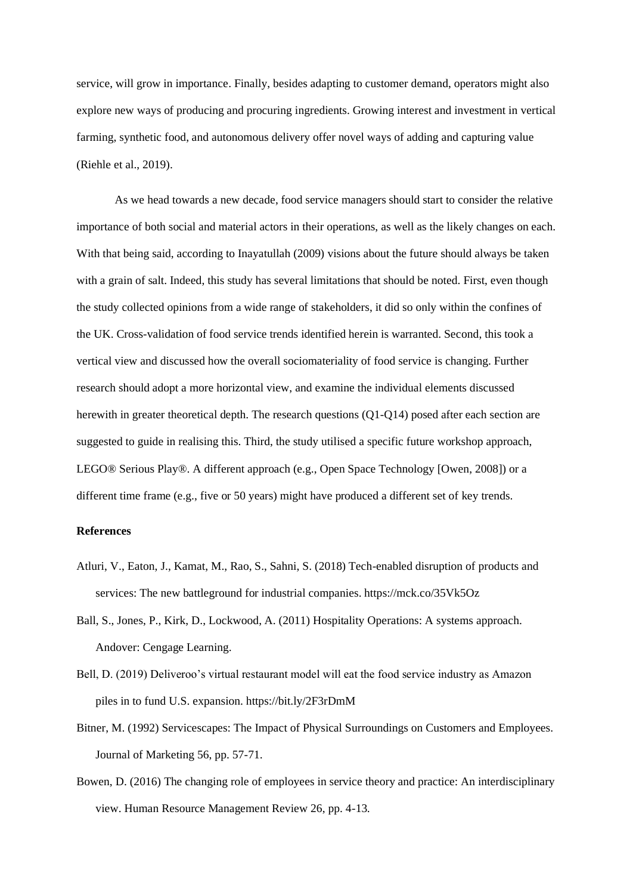service, will grow in importance. Finally, besides adapting to customer demand, operators might also explore new ways of producing and procuring ingredients. Growing interest and investment in vertical farming, synthetic food, and autonomous delivery offer novel ways of adding and capturing value (Riehle et al., 2019).

As we head towards a new decade, food service managers should start to consider the relative importance of both social and material actors in their operations, as well as the likely changes on each. With that being said, according to Inayatullah (2009) visions about the future should always be taken with a grain of salt. Indeed, this study has several limitations that should be noted. First, even though the study collected opinions from a wide range of stakeholders, it did so only within the confines of the UK. Cross-validation of food service trends identified herein is warranted. Second, this took a vertical view and discussed how the overall sociomateriality of food service is changing. Further research should adopt a more horizontal view, and examine the individual elements discussed herewith in greater theoretical depth. The research questions (Q1-Q14) posed after each section are suggested to guide in realising this. Third, the study utilised a specific future workshop approach, LEGO® Serious Play®. A different approach (e.g., Open Space Technology [Owen, 2008]) or a different time frame (e.g., five or 50 years) might have produced a different set of key trends.

# **References**

- Atluri, V., Eaton, J., Kamat, M., Rao, S., Sahni, S. (2018) Tech-enabled disruption of products and services: The new battleground for industrial companies. https://mck.co/35Vk5Oz
- Ball, S., Jones, P., Kirk, D., Lockwood, A. (2011) Hospitality Operations: A systems approach. Andover: Cengage Learning.
- Bell, D. (2019) Deliveroo's virtual restaurant model will eat the food service industry as Amazon piles in to fund U.S. expansion. https://bit.ly/2F3rDmM
- Bitner, M. (1992) Servicescapes: The Impact of Physical Surroundings on Customers and Employees. Journal of Marketing 56, pp. 57-71.
- Bowen, D. (2016) The changing role of employees in service theory and practice: An interdisciplinary view. Human Resource Management Review 26, pp. 4-13.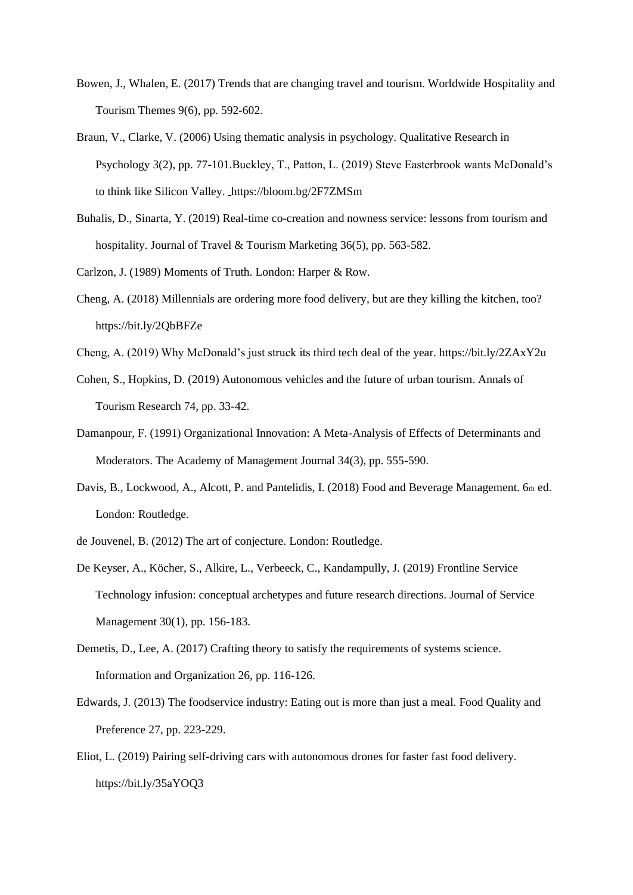- Bowen, J., Whalen, E. (2017) Trends that are changing travel and tourism. Worldwide Hospitality and Tourism Themes 9(6), pp. 592-602.
- Braun, V., Clarke, V. (2006) Using thematic analysis in psychology. Qualitative Research in Psychology 3(2), pp. 77-101.Buckley, T., Patton, L. (2019) Steve Easterbrook wants McDonald's to think like Silicon Valley[. h](https://www.bloomberg.com/news/features/2019-09-25/steve-easterbrook-wants-mcdonald-s-to-think-like-silicon-valley)ttps://bloom.bg/2F7ZMSm
- Buhalis, D., Sinarta, Y. (2019) Real-time co-creation and nowness service: lessons from tourism and hospitality. Journal of Travel & Tourism Marketing 36(5), pp. 563-582.
- Carlzon, J. (1989) Moments of Truth. London: Harper & Row.
- Cheng, A. (2018) Millennials are ordering more food delivery, but are they killing the kitchen, too[?](https://www.forbes.com/sites/andriacheng/2018/06/26/millennials-are-ordering-food-for-delivery-more-but-are-they-killing-the-kitchen-too/#4330ee80393e)  https://bit.ly/2QbBFZe
- Cheng, A. (2019) Why McDonald's just struck its third tech deal of the year. https://bit.ly/2ZAxY2u
- Cohen, S., Hopkins, D. (2019) Autonomous vehicles and the future of urban tourism. Annals of Tourism Research 74, pp. 33-42.
- Damanpour, F. (1991) Organizational Innovation: A Meta-Analysis of Effects of Determinants and Moderators. The Academy of Management Journal 34(3), pp. 555-590.
- Davis, B., Lockwood, A., Alcott, P. and Pantelidis, I. (2018) Food and Beverage Management. 6th ed. London: Routledge.
- de Jouvenel, B. (2012) The art of conjecture. London: Routledge.
- De Keyser, A., Köcher, S., Alkire, L., Verbeeck, C., Kandampully, J. (2019) Frontline Service Technology infusion: conceptual archetypes and future research directions. Journal of Service Management 30(1), pp. 156-183.
- Demetis, D., Lee, A. (2017) Crafting theory to satisfy the requirements of systems science. Information and Organization 26, pp. 116-126.
- Edwards, J. (2013) The foodservice industry: Eating out is more than just a meal. Food Quality and Preference 27, pp. 223-229.
- Eliot, L. (2019) Pairing self-driving cars with autonomous drones for faster fast food delivery. https://bit.ly/35aYOQ3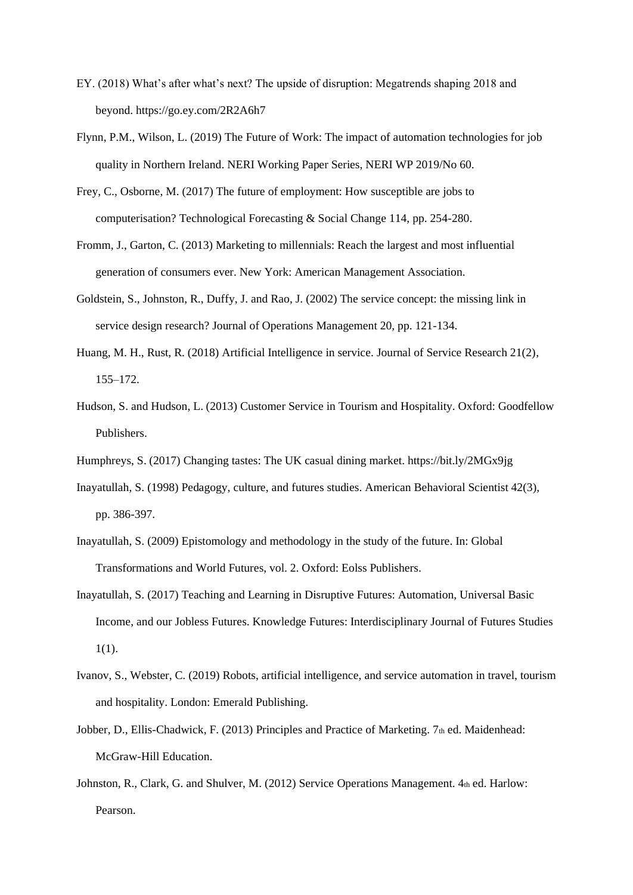- EY. (2018) What's after what's next? The upside of disruption: Megatrends shaping 2018 and beyond. https://go.ey.com/2R2A6h7
- Flynn, P.M., Wilson, L. (2019) The Future of Work: The impact of automation technologies for job quality in Northern Ireland. NERI Working Paper Series, NERI WP 2019/No 60.
- Frey, C., Osborne, M. (2017) The future of employment: How susceptible are jobs to computerisation? Technological Forecasting & Social Change 114, pp. 254-280.
- Fromm, J., Garton, C. (2013) Marketing to millennials: Reach the largest and most influential generation of consumers ever. New York: American Management Association.
- Goldstein, S., Johnston, R., Duffy, J. and Rao, J. (2002) The service concept: the missing link in service design research? Journal of Operations Management 20, pp. 121-134.
- Huang, M. H., Rust, R. (2018) Artificial Intelligence in service. Journal of Service Research 21(2), 155–172.
- Hudson, S. and Hudson, L. (2013) Customer Service in Tourism and Hospitality. Oxford: Goodfellow Publishers.
- Humphreys, S. (2017) Changing tastes: The UK casual dining market. https://bit.ly/2MGx9jg
- Inayatullah, S. (1998) Pedagogy, culture, and futures studies. American Behavioral Scientist 42(3), pp. 386-397.
- Inayatullah, S. (2009) Epistomology and methodology in the study of the future. In: Global Transformations and World Futures, vol. 2. Oxford: Eolss Publishers.
- Inayatullah, S. (2017) Teaching and Learning in Disruptive Futures: Automation, Universal Basic Income, and our Jobless Futures. Knowledge Futures: Interdisciplinary Journal of Futures Studies  $1(1)$ .
- Ivanov, S., Webster, C. (2019) Robots, artificial intelligence, and service automation in travel, tourism and hospitality. London: Emerald Publishing.
- Jobber, D., Ellis-Chadwick, F. (2013) Principles and Practice of Marketing. 7th ed. Maidenhead: McGraw-Hill Education.
- Johnston, R., Clark, G. and Shulver, M. (2012) Service Operations Management. 4th ed. Harlow: Pearson.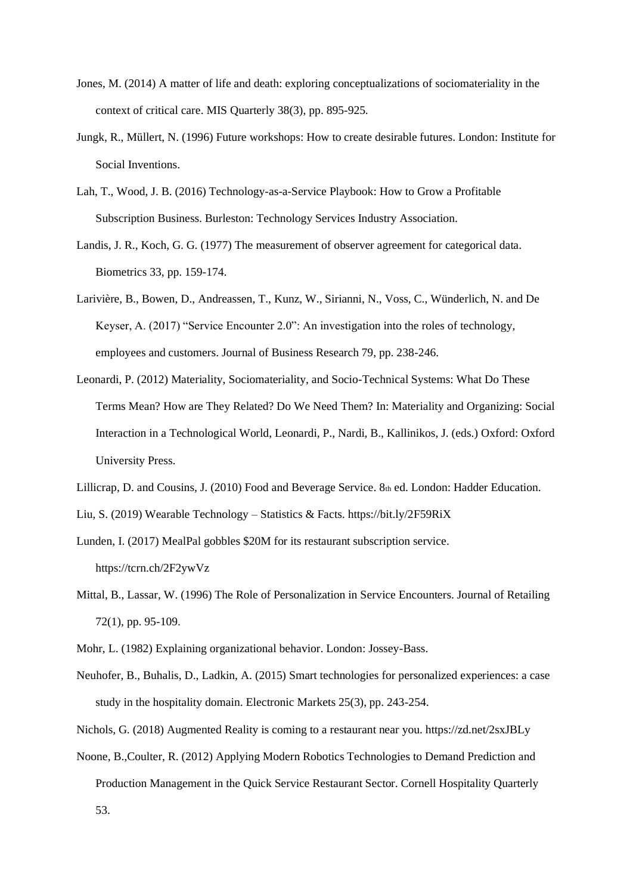- Jones, M. (2014) A matter of life and death: exploring conceptualizations of sociomateriality in the context of critical care. MIS Quarterly 38(3), pp. 895-925.
- Jungk, R., Müllert, N. (1996) Future workshops: How to create desirable futures. London: Institute for Social Inventions.
- Lah, T., Wood, J. B. (2016) Technology-as-a-Service Playbook: How to Grow a Profitable Subscription Business. Burleston: Technology Services Industry Association.
- Landis, J. R., Koch, G. G. (1977) The measurement of observer agreement for categorical data. Biometrics 33, pp. 159-174.
- Larivière, B., Bowen, D., Andreassen, T., Kunz, W., Sirianni, N., Voss, C., Wünderlich, N. and De Keyser, A. (2017) "Service Encounter 2.0": An investigation into the roles of technology, employees and customers. Journal of Business Research 79, pp. 238-246.
- Leonardi, P. (2012) Materiality, Sociomateriality, and Socio-Technical Systems: What Do These Terms Mean? How are They Related? Do We Need Them? In: Materiality and Organizing: Social Interaction in a Technological World, Leonardi, P., Nardi, B., Kallinikos, J. (eds.) Oxford: Oxford University Press.
- Lillicrap, D. and Cousins, J. (2010) Food and Beverage Service. 8th ed. London: Hadder Education.
- Liu, S. (2019) Wearable Technology Statistics & Facts. https://bit.ly/2F59RiX
- Lunden, I. (2017) MealPal gobbles \$20M for its restaurant subscription service. https://tcrn.ch/2F2ywVz
- Mittal, B., Lassar, W. (1996) The Role of Personalization in Service Encounters. Journal of Retailing 72(1), pp. 95-109.
- Mohr, L. (1982) Explaining organizational behavior. London: Jossey-Bass.
- Neuhofer, B., Buhalis, D., Ladkin, A. (2015) Smart technologies for personalized experiences: a case study in the hospitality domain. Electronic Markets 25(3), pp. 243-254.
- Nichols, G. (2018) Augmented Reality is coming to a restaurant near you. https://zd.net/2sxJBLy
- Noone, B.,Coulter, R. (2012) Applying Modern Robotics Technologies to Demand Prediction and Production Management in the Quick Service Restaurant Sector. Cornell Hospitality Quarterly 53.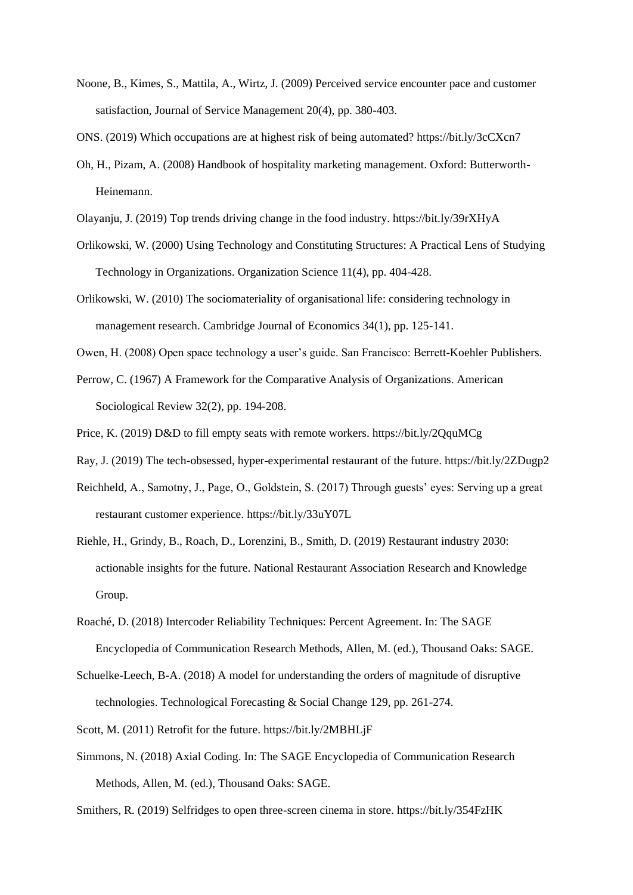- Noone, B., Kimes, S., Mattila, A., Wirtz, J. (2009) Perceived service encounter pace and customer satisfaction, Journal of Service Management 20(4), pp. 380-403.
- ONS. (2019) Which occupations are at highest risk of being automated? https://bit.ly/3cCXcn7
- Oh, H., Pizam, A. (2008) Handbook of hospitality marketing management. Oxford: Butterworth-Heinemann.
- Olayanju, J. (2019) Top trends driving change in the food industry. https://bit.ly/39rXHyA
- Orlikowski, W. (2000) Using Technology and Constituting Structures: A Practical Lens of Studying Technology in Organizations. Organization Science 11(4), pp. 404-428.
- Orlikowski, W. (2010) The sociomateriality of organisational life: considering technology in management research. Cambridge Journal of Economics 34(1), pp. 125-141.
- Owen, H. (2008) Open space technology a user's guide. San Francisco: Berrett-Koehler Publishers.
- Perrow, C. (1967) A Framework for the Comparative Analysis of Organizations. American Sociological Review 32(2), pp. 194-208.
- Price, K. (2019) D&D to fill empty seats with remote workers. https://bit.ly/2QquMCg
- Ray, J. (2019) The tech-obsessed, hyper-experimental restaurant of the future. https://bit.ly/2ZDugp2
- Reichheld, A., Samotny, J., Page, O., Goldstein, S. (2017) Through guests' eyes: Serving up a great restaurant customer experience. https://bit.ly/33uY07L
- Riehle, H., Grindy, B., Roach, D., Lorenzini, B., Smith, D. (2019) Restaurant industry 2030: actionable insights for the future. National Restaurant Association Research and Knowledge Group.
- Roaché, D. (2018) Intercoder Reliability Techniques: Percent Agreement. In: The SAGE Encyclopedia of Communication Research Methods, Allen, M. (ed.), Thousand Oaks: SAGE.
- Schuelke-Leech, B-A. (2018) A model for understanding the orders of magnitude of disruptive technologies. Technological Forecasting & Social Change 129, pp. 261-274.
- Scott, M. (2011) Retrofit for the future. https://bit.ly/2MBHLjF
- Simmons, N. (2018) Axial Coding. In: The SAGE Encyclopedia of Communication Research Methods, Allen, M. (ed.), Thousand Oaks: SAGE.

Smithers, R. (2019) Selfridges to open three-screen cinema in store. https://bit.ly/354FzHK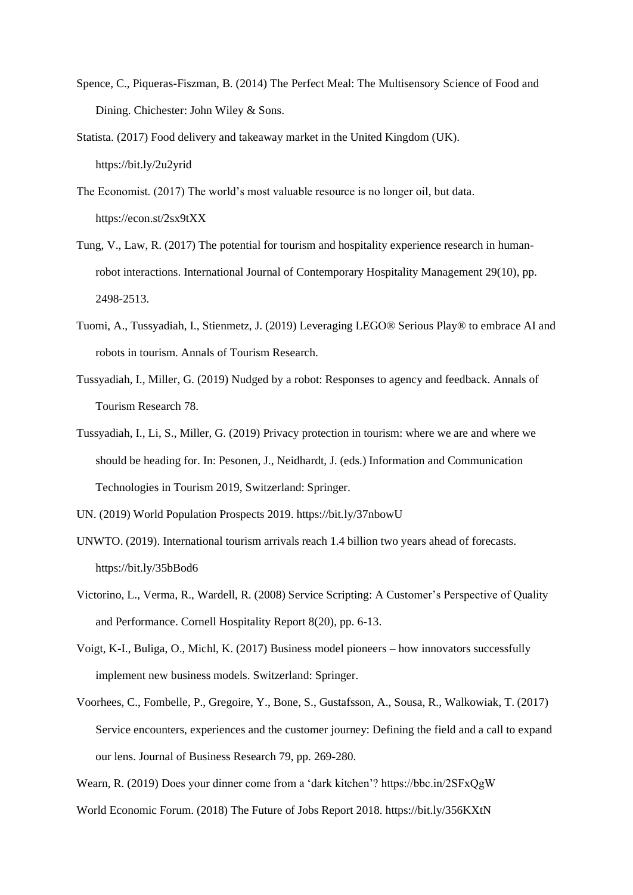- Spence, C., Piqueras-Fiszman, B. (2014) The Perfect Meal: The Multisensory Science of Food and Dining. Chichester: John Wiley & Sons.
- Statista. (2017) Food delivery and takeaway market in the United Kingdom (UK). https://bit.ly/2u2yrid
- The Economist. (2017) The world's most valuable resource is no longer oil, but data. https://econ.st/2sx9tXX
- Tung, V., Law, R. (2017) The potential for tourism and hospitality experience research in humanrobot interactions. International Journal of Contemporary Hospitality Management 29(10), pp. 2498-2513.
- Tuomi, A., Tussyadiah, I., Stienmetz, J. (2019) Leveraging LEGO® Serious Play® to embrace AI and robots in tourism. Annals of Tourism Research.
- Tussyadiah, I., Miller, G. (2019) Nudged by a robot: Responses to agency and feedback. Annals of Tourism Research 78.
- Tussyadiah, I., Li, S., Miller, G. (2019) Privacy protection in tourism: where we are and where we should be heading for. In: Pesonen, J., Neidhardt, J. (eds.) Information and Communication Technologies in Tourism 2019, Switzerland: Springer.
- UN. (2019) World Population Prospects 2019. https://bit.ly/37nbowU
- UNWTO. (2019). International tourism arrivals reach 1.4 billion two years ahead of forecasts. https://bit.ly/35bBod6
- Victorino, L., Verma, R., Wardell, R. (2008) Service Scripting: A Customer's Perspective of Quality and Performance. Cornell Hospitality Report 8(20), pp. 6-13.
- Voigt, K-I., Buliga, O., Michl, K. (2017) Business model pioneers how innovators successfully implement new business models. Switzerland: Springer.
- Voorhees, C., Fombelle, P., Gregoire, Y., Bone, S., Gustafsson, A., Sousa, R., Walkowiak, T. (2017) Service encounters, experiences and the customer journey: Defining the field and a call to expand our lens. Journal of Business Research 79, pp. 269-280.
- Wearn, R. (2019) Does your dinner come from a 'dark kitchen'? https://bbc.in/2SFxQgW
- World Economic Forum. (2018) The Future of Jobs Report 2018. https://bit.ly/356KXtN